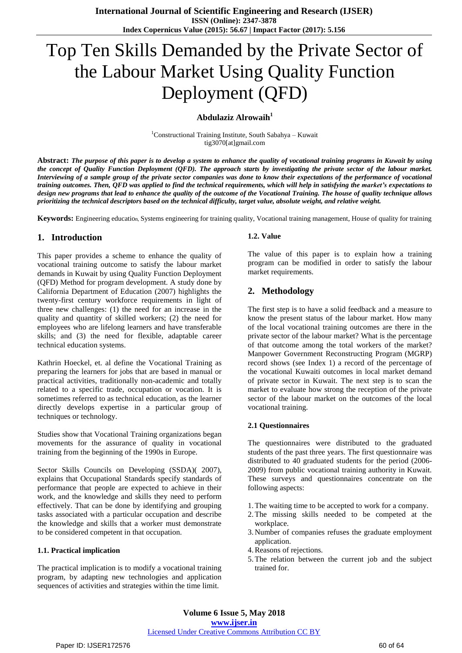# Top Ten Skills Demanded by the Private Sector of the Labour Market Using Quality Function Deployment (QFD)

## **Abdulaziz Alrowaih<sup>1</sup>**

<sup>1</sup>Constructional Training Institute, South Sabahya – Kuwait tig3070[at]gmail.com

Abstract: The purpose of this paper is to develop a system to enhance the quality of vocational training programs in Kuwait by using the concept of Quality Function Deployment (QFD). The approach starts by investigating the private sector of the labour market. Interviewing of a sample group of the private sector companies was done to know their expectations of the performance of vocational training outcomes. Then, OFD was applied to find the technical requirements, which will help in satisfying the market's expectations to design new programs that lead to enhance the quality of the outcome of the Vocational Training. The house of quality technique allows *prioritizing the technical descriptors based on the technical difficulty, target value, absolute weight, and relative weight.*

**Keywords:** Engineering education, Systems engineering for training quality, Vocational training management, House of quality for training

# **1. Introduction**

This paper provides a scheme to enhance the quality of vocational training outcome to satisfy the labour market demands in Kuwait by using Quality Function Deployment (QFD) Method for program development. A study done by California Department of Education (2007) highlights the twenty-first century workforce requirements in light of three new challenges: (1) the need for an increase in the quality and quantity of skilled workers; (2) the need for employees who are lifelong learners and have transferable skills; and (3) the need for flexible, adaptable career technical education systems.

Kathrin Hoeckel, et. al define the Vocational Training as preparing the learners for jobs that are based in manual or practical activities, traditionally non-academic and totally related to a specific trade, occupation or vocation. It is sometimes referred to as technical education, as the learner directly develops expertise in a particular group of techniques or technology.

Studies show that Vocational Training organizations began movements for the assurance of quality in vocational training from the beginning of the 1990s in Europe.

Sector Skills Councils on Developing (SSDA)(2007), explains that Occupational Standards specify standards of performance that people are expected to achieve in their work, and the knowledge and skills they need to perform effectively. That can be done by identifying and grouping tasks associated with a particular occupation and describe the knowledge and skills that a worker must demonstrate to be considered competent in that occupation.

## **1.1. Practical implication**

The practical implication is to modify a vocational training program, by adapting new technologies and application sequences of activities and strategies within the time limit.

#### **1.2. Value**

The value of this paper is to explain how a training program can be modified in order to satisfy the labour market requirements.

## **2. Methodology**

The first step is to have a solid feedback and a measure to know the present status of the labour market. How many of the local vocational training outcomes are there in the private sector of the labour market? What is the percentage of that outcome among the total workers of the market? Manpower Government Reconstructing Program (MGRP) record shows (see Index 1) a record of the percentage of the vocational Kuwaiti outcomes in local market demand of private sector in Kuwait. The next step is to scan the market to evaluate how strong the reception of the private sector of the labour market on the outcomes of the local vocational training.

## **2.1 Questionnaires**

The questionnaires were distributed to the graduated students of the past three years. The first questionnaire was distributed to 40 graduated students for the period (2006- 2009) from public vocational training authority in Kuwait. These surveys and questionnaires concentrate on the following aspects:

- 1.The waiting time to be accepted to work for a company.
- 2.The missing skills needed to be competed at the workplace.
- 3. Number of companies refuses the graduate employment application.
- 4.Reasons of rejections.
- 5.The relation between the current job and the subject trained for.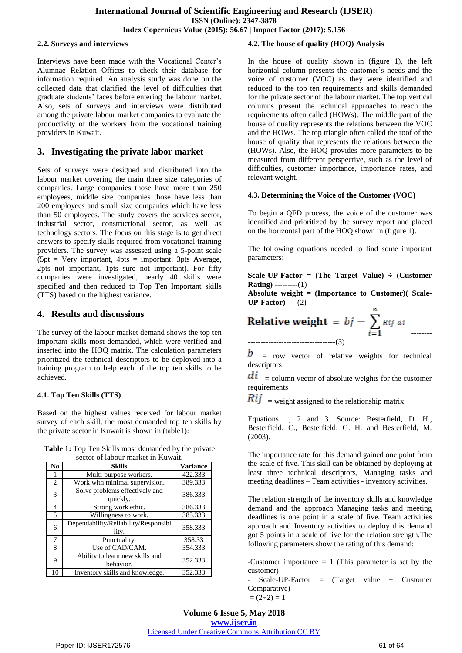## **2.2. Surveys and interviews**

Interviews have been made with the Vocational Center's Alumnae Relation Offices to check their database for information required. An analysis study was done on the collected data that clarified the level of difficulties that graduate students' faces before entering the labour market. Also, sets of surveys and interviews were distributed among the private labour market companies to evaluate the productivity of the workers from the vocational training providers in Kuwait.

# **3. Investigating the private labor market**

Sets of surveys were designed and distributed into the labour market covering the main three size categories of companies. Large companies those have more than 250 employees, middle size companies those have less than 200 employees and small size companies which have less than 50 employees. The study covers the services sector, industrial sector, constructional sector, as well as technology sectors. The focus on this stage is to get direct answers to specify skills required from vocational training providers. The survey was assessed using a 5-point scale  $(5pt = Very important, 4pts = important, 3pts Average,$ 2pts not important, 1pts sure not important). For fifty companies were investigated, nearly 40 skills were specified and then reduced to Top Ten Important skills (TTS) based on the highest variance.

# **4. Results and discussions**

The survey of the labour market demand shows the top ten important skills most demanded, which were verified and inserted into the HOQ matrix. The calculation parameters prioritized the technical descriptors to be deployed into a training program to help each of the top ten skills to be achieved.

# **4.1. Top Ten Skills (TTS)**

Based on the highest values received for labour market survey of each skill, the most demanded top ten skills by the private sector in Kuwait is shown in (table1):

| <b>Table 1:</b> Top Ten Skills most demanded by the private |
|-------------------------------------------------------------|
| sector of labour market in Kuwait.                          |

| N <sub>0</sub> | <b>Skills</b>                                 | <b>Variance</b> |
|----------------|-----------------------------------------------|-----------------|
|                | Multi-purpose workers.                        | 422.333         |
| $\overline{2}$ | Work with minimal supervision.                | 389.333         |
| 3              | Solve problems effectively and<br>quickly.    | 386.333         |
| 4              | Strong work ethic.                            | 386.333         |
| 5              | Willingness to work.                          | 385.333         |
| 6              | Dependability/Reliability/Responsibi<br>lity. | 358.333         |
| 7              | Punctuality.                                  | 358.33          |
| 8              | Use of CAD/CAM.                               | 354.333         |
| 9              | Ability to learn new skills and<br>behavior.  | 352.333         |
| 10             | Inventory skills and knowledge.               | 352.333         |

# **4.2. The house of quality (HOQ) Analysis**

In the house of quality shown in (figure 1), the left horizontal column presents the customer's needs and the voice of customer (VOC) as they were identified and reduced to the top ten requirements and skills demanded for the private sector of the labour market. The top vertical columns present the technical approaches to reach the requirements often called (HOWs). The middle part of the house of quality represents the relations between the VOC and the HOWs. The top triangle often called the roof of the house of quality that represents the relations between the (HOWs). Also, the HOQ provides more parameters to be measured from different perspective, such as the level of difficulties, customer importance, importance rates, and relevant weight.

# **4.3. Determining the Voice of the Customer (VOC)**

To begin a QFD process, the voice of the customer was identified and prioritized by the survey report and placed on the horizontal part of the HOQ shown in (figure 1).

The following equations needed to find some important parameters:

**Scale-UP-Factor = (The Target Value) ÷ (Customer Rating)** ---------(1)

**Absolute weight = (Importance to Customer)( Scale-UP-Factor)** ----(2)

**Relative weight** = 
$$
bj = \sum_{i=1}^{n} Rij \, di
$$

b = row vector of relative weights for technical descriptors

--------

 $di =$  column vector of absolute weights for the customer requirements

 $Rij =$  weight assigned to the relationship matrix.

Equations 1, 2 and 3. Source: Besterfield, D. H., Besterfield, C., Besterfield, G. H. and Besterfield, M. (2003).

The importance rate for this demand gained one point from the scale of five. This skill can be obtained by deploying at least three technical descriptors, Managing tasks and meeting deadlines – Team activities - inventory activities.

The relation strength of the inventory skills and knowledge demand and the approach Managing tasks and meeting deadlines is one point in a scale of five. Team activities approach and Inventory activities to deploy this demand got 5 points in a scale of five for the relation strength.The following parameters show the rating of this demand:

-Customer importance  $= 1$  (This parameter is set by the customer)

Scale-UP-Factor =  $(Target \ value \div Custer)$ Comparative)  $= (2\div 2) = 1$ 

**Volume 6 Issue 5, May 2018 <www.ijser.in>** [Licensed Under Creative Commons Attribution CC BY](http://creativecommons.org/licenses/by/4.0/)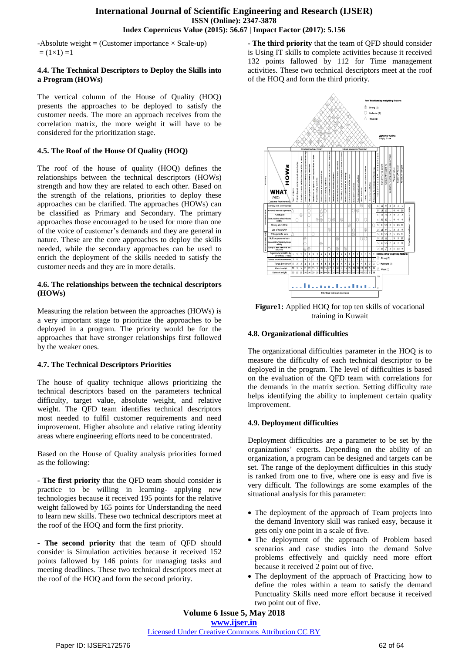$-$ Absolute weight = (Customer importance  $\times$  Scale-up)  $= (1 \times 1) = 1$ 

#### **4.4. The Technical Descriptors to Deploy the Skills into a Program (HOWs)**

The vertical column of the House of Quality (HOQ) presents the approaches to be deployed to satisfy the customer needs. The more an approach receives from the correlation matrix, the more weight it will have to be considered for the prioritization stage.

## **4.5. The Roof of the House Of Quality (HOQ)**

The roof of the house of quality (HOQ) defines the relationships between the technical descriptors (HOWs) strength and how they are related to each other. Based on the strength of the relations, priorities to deploy these approaches can be clarified. The approaches (HOWs) can be classified as Primary and Secondary. The primary approaches those encouraged to be used for more than one of the voice of customer's demands and they are general in nature. These are the core approaches to deploy the skills needed, while the secondary approaches can be used to enrich the deployment of the skills needed to satisfy the customer needs and they are in more details.

## **4.6. The relationships between the technical descriptors (HOWs)**

Measuring the relation between the approaches (HOWs) is a very important stage to prioritize the approaches to be deployed in a program. The priority would be for the approaches that have stronger relationships first followed by the weaker ones.

## **4.7. The Technical Descriptors Priorities**

The house of quality technique allows prioritizing the technical descriptors based on the parameters technical difficulty, target value, absolute weight, and relative weight. The QFD team identifies technical descriptors most needed to fulfil customer requirements and need improvement. Higher absolute and relative rating identity areas where engineering efforts need to be concentrated.

Based on the House of Quality analysis priorities formed as the following:

**- The first priority** that the QFD team should consider is practice to be willing in learning- applying new technologies because it received 195 points for the relative weight fallowed by 165 points for Understanding the need to learn new skills. These two technical descriptors meet at the roof of the HOQ and form the first priority.

**- The second priority** that the team of QFD should consider is Simulation activities because it received 152 points fallowed by 146 points for managing tasks and meeting deadlines. These two technical descriptors meet at the roof of the HOQ and form the second priority.

**- The third priority** that the team of QFD should consider is Using IT skills to complete activities because it received 132 points fallowed by 112 for Time management activities. These two technical descriptors meet at the roof of the HOQ and form the third priority.



**Figure1:** Applied HOQ for top ten skills of vocational training in Kuwait

## **4.8. Organizational difficulties**

The organizational difficulties parameter in the HOQ is to measure the difficulty of each technical descriptor to be deployed in the program. The level of difficulties is based on the evaluation of the QFD team with correlations for the demands in the matrix section. Setting difficulty rate helps identifying the ability to implement certain quality improvement.

## **4.9. Deployment difficulties**

Deployment difficulties are a parameter to be set by the organizations' experts. Depending on the ability of an organization, a program can be designed and targets can be set. The range of the deployment difficulties in this study is ranked from one to five, where one is easy and five is very difficult. The followings are some examples of the situational analysis for this parameter:

- The deployment of the approach of Team projects into the demand Inventory skill was ranked easy, because it gets only one point in a scale of five.
- The deployment of the approach of Problem based scenarios and case studies into the demand Solve problems effectively and quickly need more effort because it received 2 point out of five.
- The deployment of the approach of Practicing how to define the roles within a team to satisfy the demand Punctuality Skills need more effort because it received two point out of five.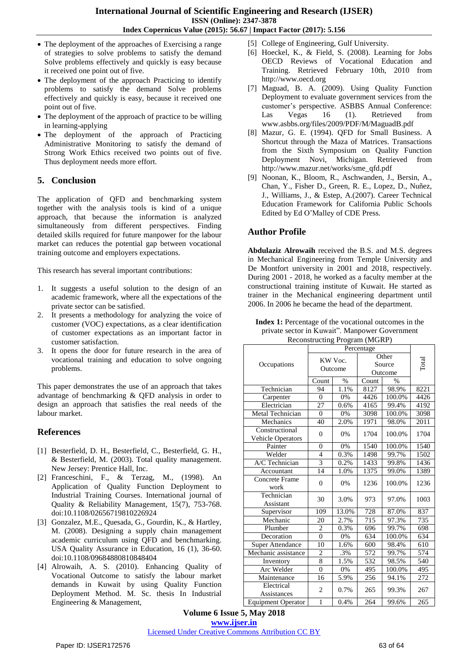- The deployment of the approaches of Exercising a range of strategies to solve problems to satisfy the demand Solve problems effectively and quickly is easy because it received one point out of five.
- The deployment of the approach Practicing to identify problems to satisfy the demand Solve problems effectively and quickly is easy, because it received one point out of five.
- The deployment of the approach of practice to be willing in learning-applying
- The deployment of the approach of Practicing Administrative Monitoring to satisfy the demand of Strong Work Ethics received two points out of five. Thus deployment needs more effort.

# **5. Conclusion**

The application of QFD and benchmarking system together with the analysis tools is kind of a unique approach, that because the information is analyzed simultaneously from different perspectives. Finding detailed skills required for future manpower for the labour market can reduces the potential gap between vocational training outcome and employers expectations.

This research has several important contributions:

- 1. It suggests a useful solution to the design of an academic framework, where all the expectations of the private sector can be satisfied.
- 2. It presents a methodology for analyzing the voice of customer (VOC) expectations, as a clear identification of customer expectations as an important factor in customer satisfaction.
- 3. It opens the door for future research in the area of vocational training and education to solve ongoing problems.

This paper demonstrates the use of an approach that takes advantage of benchmarking & QFD analysis in order to design an approach that satisfies the real needs of the labour market.

# **References**

- [1] Besterfield, D. H., Besterfield, C., Besterfield, G. H., & Besterfield, M. (2003). Total quality management. New Jersey: Prentice Hall, Inc.
- [2] Franceschini, F., & Terzag, M., (1998). An Application of Quality Function Deployment to Industrial Training Courses. International journal of Quality & Reliability Management, 15(7), 753-768. doi:10.1108/02656719810226924
- [3] Gonzalez, M.E., Quesada, G., Gourdin, K., & Hartley, M. (2008). Designing a supply chain management academic curriculum using QFD and benchmarking. USA Quality Assurance in Education, 16 (1), 36-60. doi:10.1108/09684880810848404
- [4] Alrowaih, A. S. (2010). Enhancing Quality of Vocational Outcome to satisfy the labour market demands in Kuwait by using Quality Function Deployment Method. M. Sc. thesis In Industrial Engineering & Management,
- [5] College of Engineering, Gulf University.
- [6] Hoeckel, K., & Field, S. (2008). Learning for Jobs OECD Reviews of Vocational Education and Training. Retrieved February 10th, 2010 from http://www.oecd.org
- [7] Maguad, B. A. (2009). Using Quality Function Deployment to evaluate government services from the customer's perspective. ASBBS Annual Conference: Las Vegas 16 (1). Retrieved from www.asbbs.org/files/2009/PDF/M/MaguadB.pdf
- [8] Mazur, G. E. (1994). QFD for Small Business. A Shortcut through the Maza of Matrices. Transactions from the Sixth Symposium on Quality Function Deployment Novi, Michigan. Retrieved from http://www.mazur.net/works/sme\_qfd.pdf
- [9] Noonan, K., Bloom, R., Aschwanden, J., Bersin, A., Chan, Y., Fisher D., Green, R. E., Lopez, D., Nuñez, J., Williams, J., & Estep, A.(2007). Career Technical Education Framework for California Public Schools Edited by Ed O'Malley of CDE Press.

# **Author Profile**

**Abdulaziz Alrowaih** received the B.S. and M.S. degrees in Mechanical Engineering from Temple University and De Montfort university in 2001 and 2018, respectively. During 2001 - 2018, he worked as a faculty member at the constructional training institute of Kuwait. He started as trainer in the Mechanical engineering department until 2006. In 2006 he became the head of the department.

**Index 1:** Percentage of the vocational outcomes in the private sector in Kuwait". Manpower Government Reconstructing Program (MGRP)

| $\alpha$                                   |                    |       |                            |        |       |  |
|--------------------------------------------|--------------------|-------|----------------------------|--------|-------|--|
|                                            | Percentage         |       |                            |        |       |  |
| Occupations                                | KW Voc.<br>Outcome |       | Other<br>Source<br>Outcome |        | Total |  |
|                                            | Count              | $\%$  | Count                      | $\%$   |       |  |
| Technician                                 | 94                 | 1.1%  | 8127                       | 98.9%  | 8221  |  |
| Carpenter                                  | $\theta$           | 0%    | 4426                       | 100.0% | 4426  |  |
| Electrician                                | 27                 | 0.6%  | 4165                       | 99.4%  | 4192  |  |
| Metal Technician                           | $\overline{0}$     | 0%    | 3098                       | 100.0% | 3098  |  |
| Mechanics                                  | 40                 | 2.0%  | 1971                       | 98.0%  | 2011  |  |
| Constructional<br><b>Vehicle Operators</b> | $\overline{0}$     | 0%    | 1704                       | 100.0% | 1704  |  |
| Painter                                    | $\theta$           | 0%    | 1540                       | 100.0% | 1540  |  |
| Welder                                     | $\overline{4}$     | 0.3%  | 1498                       | 99.7%  | 1502  |  |
| A/C Technician                             | 3                  | 0.2%  | 1433                       | 99.8%  | 1436  |  |
| Accountant                                 | 14                 | 1.0%  | 1375                       | 99.0%  | 1389  |  |
| Concrete Frame<br>work                     | $\theta$           | 0%    | 1236                       | 100.0% | 1236  |  |
| Technician<br>Assistant                    | 30                 | 3.0%  | 973                        | 97.0%  | 1003  |  |
| Supervisor                                 | 109                | 13.0% | 728                        | 87.0%  | 837   |  |
| Mechanic                                   | 20                 | 2.7%  | 715                        | 97.3%  | 735   |  |
| Plumber                                    | $\overline{c}$     | 0.3%  | 696                        | 99.7%  | 698   |  |
| Decoration                                 | $\overline{0}$     | 0%    | 634                        | 100.0% | 634   |  |
| <b>Super Attendance</b>                    | 10                 | 1.6%  | 600                        | 98.4%  | 610   |  |
| Mechanic assistance                        | $\overline{2}$     | .3%   | 572                        | 99.7%  | 574   |  |
| Inventory                                  | $\overline{8}$     | 1.5%  | 532                        | 98.5%  | 540   |  |
| Arc Welder                                 | $\overline{0}$     | 0%    | 495                        | 100.0% | 495   |  |
| Maintenance                                | 16                 | 5.9%  | 256                        | 94.1%  | 272   |  |
| Electrical<br>Assistances                  | $\overline{c}$     | 0.7%  | 265                        | 99.3%  | 267   |  |
| <b>Equipment Operator</b>                  | 1                  | 0.4%  | 264                        | 99.6%  | 265   |  |

**Volume 6 Issue 5, May 2018 <www.ijser.in>** [Licensed Under Creative Commons Attribution CC BY](http://creativecommons.org/licenses/by/4.0/)